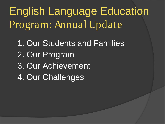English Language Education Program: Annual Update

1. Our Students and Families 2. Our Program 3. Our Achievement 4. Our Challenges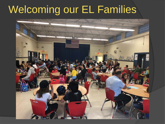#### Welcoming our EL Families

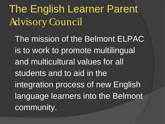The English Learner Parent Advisory Council

The mission of the Belmont ELPAC is to work to promote multilingual and multicultural values for all students and to aid in the integration process of new English language learners into the Belmont community.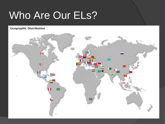## Who Are Our ELs?

#### **Geographic Distribution**

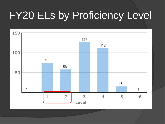## FY20 ELs by Proficiency Level

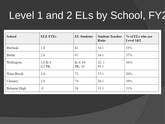## Level 1 and 2 ELs by School, FY2

| School       | <b>ELE FTEs</b>       | <b>EL Students</b> | <b>Student: Teacher</b><br>Ratio         | % of ELs who are<br>Level $1&2$ |
|--------------|-----------------------|--------------------|------------------------------------------|---------------------------------|
| Burbank      | 1.8                   | 61                 | 34:1                                     | 33%                             |
| Butler       | 2.0                   | 67                 | 34:1                                     | 37%                             |
| Wellington   | $2.6 K-4$<br>$0.2$ PK | K-4:84<br>PK: 19   | $\overline{\phantom{a}}$<br>32:1<br>95:1 | 36%                             |
| Winn Brook   | 2.0                   | 73                 | 37:1                                     | 26%                             |
| Chenery      | 2.8                   | 74                 | 26:1                                     | 38%                             |
| Belmont High | .8                    | 26                 | 33:1                                     | 31%                             |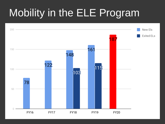# Mobility in the ELE Program

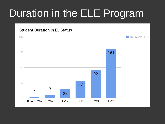# Duration in the ELE Program

#### **Student Duration in EL Status**

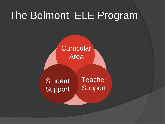#### The Belmont ELE Program

**Curricular** Area

**Student** Support **Teacher** Support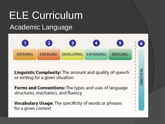#### ELE Curriculum Academic Language



**Linguistic Complexity:** The amount and quality of speech or writing for a given situation

**REACHING** 

**Forms and Conventions:** The types and uses of language structures, mechanics, and fluency

Vocabulary Usage: The specificity of words or phrases for a given context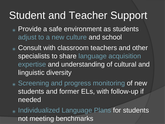#### Student and Teacher Support

- <sup>⦿</sup> Provide a safe environment as students adjust to a new culture and school
- <sup>⦿</sup> Consult with classroom teachers and other specialists to share language acquisition expertise and understanding of cultural and linguistic diversity
- <sup>⦿</sup> Screening and progress monitoring of new students and former ELs, with follow-up if needed
- <sup>⦿</sup> Individualized Language Plans for students not meeting benchmarks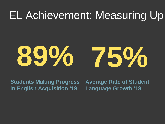#### EL Achievement: Measuring Up



**Students Making Progress in English Acquisition '19**

**Average Rate of Student Language Growth '18**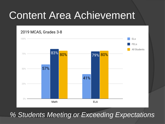#### Content Area Achievement



#### *% Students Meeting or Exceeding Expectations*